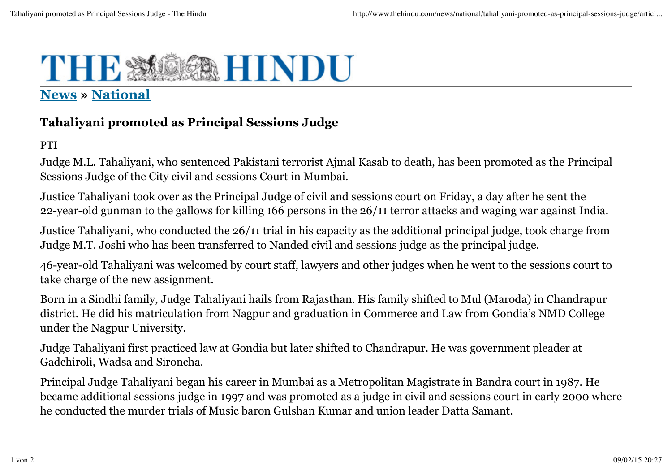## THE \* **DER HINDU**

## **News » National**

## **Tahaliyani promoted as Principal Sessions Judge**

PTI

Judge M.L. Tahaliyani, who sentenced Pakistani terrorist Ajmal Kasab to death, has been promoted as the Principal Sessions Judge of the City civil and sessions Court in Mumbai.

Justice Tahaliyani took over as the Principal Judge of civil and sessions court on Friday, a day after he sent the 22-year-old gunman to the gallows for killing 166 persons in the 26/11 terror attacks and waging war against India.

Justice Tahaliyani, who conducted the 26/11 trial in his capacity as the additional principal judge, took charge from Judge M.T. Joshi who has been transferred to Nanded civil and sessions judge as the principal judge.

46-year-old Tahaliyani was welcomed by court staff, lawyers and other judges when he went to the sessions court to take charge of the new assignment.

Born in a Sindhi family, Judge Tahaliyani hails from Rajasthan. His family shifted to Mul (Maroda) in Chandrapur district. He did his matriculation from Nagpur and graduation in Commerce and Law from Gondia's NMD College under the Nagpur University.

Judge Tahaliyani first practiced law at Gondia but later shifted to Chandrapur. He was government pleader at Gadchiroli, Wadsa and Sironcha.

Principal Judge Tahaliyani began his career in Mumbai as a Metropolitan Magistrate in Bandra court in 1987. He became additional sessions judge in 1997 and was promoted as a judge in civil and sessions court in early 2000 where he conducted the murder trials of Music baron Gulshan Kumar and union leader Datta Samant.